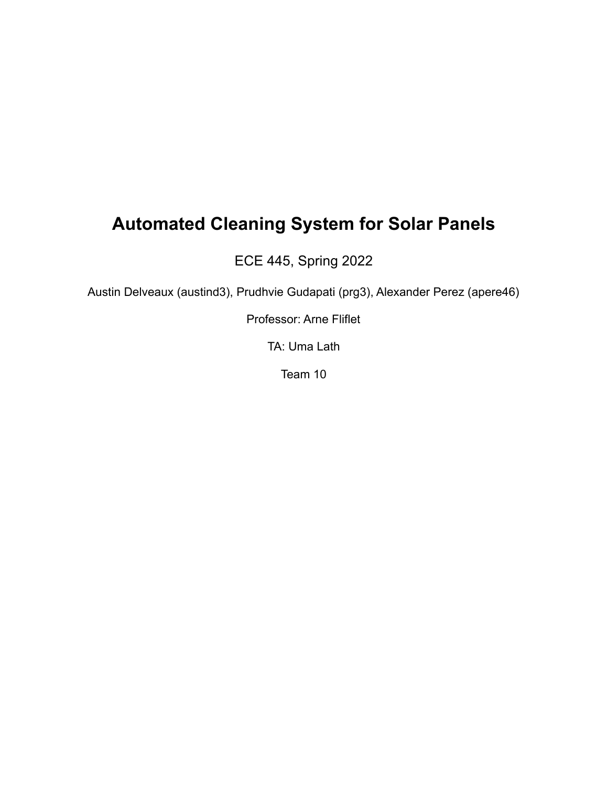## **Automated Cleaning System for Solar Panels**

ECE 445, Spring 2022

Austin Delveaux (austind3), Prudhvie Gudapati (prg3), Alexander Perez (apere46)

Professor: Arne Fliflet

TA: Uma Lath

Team 10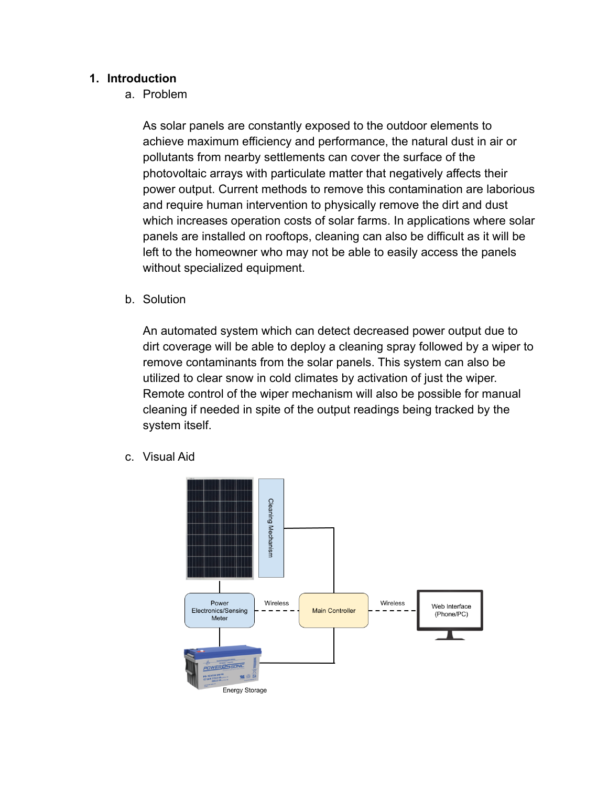## **1. Introduction**

a. Problem

As solar panels are constantly exposed to the outdoor elements to achieve maximum efficiency and performance, the natural dust in air or pollutants from nearby settlements can cover the surface of the photovoltaic arrays with particulate matter that negatively affects their power output. Current methods to remove this contamination are laborious and require human intervention to physically remove the dirt and dust which increases operation costs of solar farms. In applications where solar panels are installed on rooftops, cleaning can also be difficult as it will be left to the homeowner who may not be able to easily access the panels without specialized equipment.

b. Solution

An automated system which can detect decreased power output due to dirt coverage will be able to deploy a cleaning spray followed by a wiper to remove contaminants from the solar panels. This system can also be utilized to clear snow in cold climates by activation of just the wiper. Remote control of the wiper mechanism will also be possible for manual cleaning if needed in spite of the output readings being tracked by the system itself.

c. Visual Aid

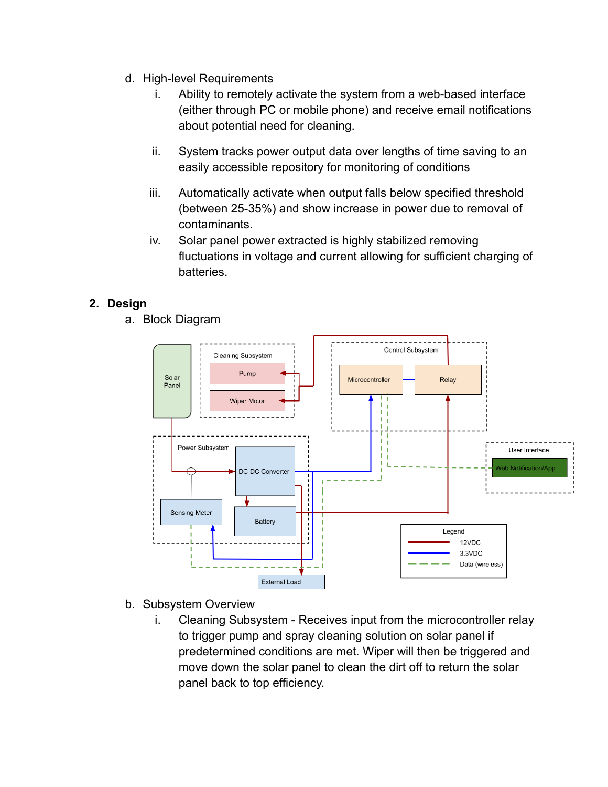- d. High-level Requirements
	- i. Ability to remotely activate the system from a web-based interface (either through PC or mobile phone) and receive email notifications about potential need for cleaning.
	- ii. System tracks power output data over lengths of time saving to an easily accessible repository for monitoring of conditions
	- iii. Automatically activate when output falls below specified threshold (between 25-35%) and show increase in power due to removal of contaminants.
	- iv. Solar panel power extracted is highly stabilized removing fluctuations in voltage and current allowing for sufficient charging of batteries.

## **2. Design**

a. Block Diagram



- b. Subsystem Overview
	- i. Cleaning Subsystem Receives input from the microcontroller relay to trigger pump and spray cleaning solution on solar panel if predetermined conditions are met. Wiper will then be triggered and move down the solar panel to clean the dirt off to return the solar panel back to top efficiency.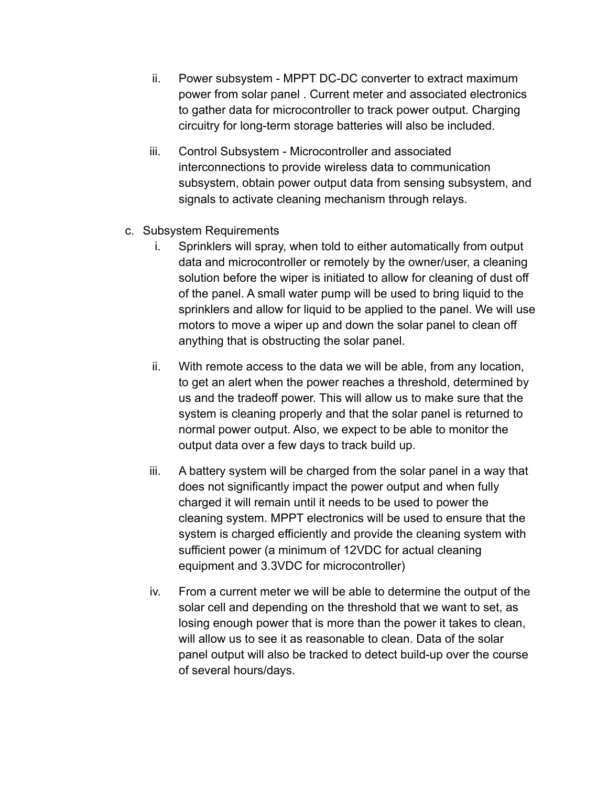- ii. Power subsystem MPPT DC-DC converter to extract maximum power from solar panel . Current meter and associated electronics to gather data for microcontroller to track power output. Charging circuitry for long-term storage batteries will also be included.
- iii. Control Subsystem Microcontroller and associated interconnections to provide wireless data to communication subsystem, obtain power output data from sensing subsystem, and signals to activate cleaning mechanism through relays.
- c. Subsystem Requirements
	- i. Sprinklers will spray, when told to either automatically from output data and microcontroller or remotely by the owner/user, a cleaning solution before the wiper is initiated to allow for cleaning of dust off of the panel. A small water pump will be used to bring liquid to the sprinklers and allow for liquid to be applied to the panel. We will use motors to move a wiper up and down the solar panel to clean off anything that is obstructing the solar panel.
	- ii. With remote access to the data we will be able, from any location, to get an alert when the power reaches a threshold, determined by us and the tradeoff power. This will allow us to make sure that the system is cleaning properly and that the solar panel is returned to normal power output. Also, we expect to be able to monitor the output data over a few days to track build up.
	- iii. A battery system will be charged from the solar panel in a way that does not significantly impact the power output and when fully charged it will remain until it needs to be used to power the cleaning system. MPPT electronics will be used to ensure that the system is charged efficiently and provide the cleaning system with sufficient power (a minimum of 12VDC for actual cleaning equipment and 3.3VDC for microcontroller)
	- iv. From a current meter we will be able to determine the output of the solar cell and depending on the threshold that we want to set, as losing enough power that is more than the power it takes to clean, will allow us to see it as reasonable to clean. Data of the solar panel output will also be tracked to detect build-up over the course of several hours/days.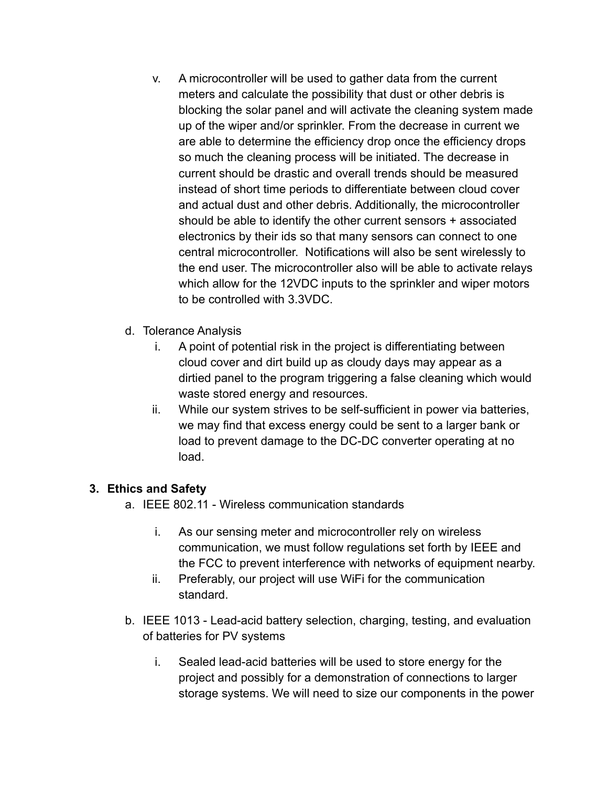- v. A microcontroller will be used to gather data from the current meters and calculate the possibility that dust or other debris is blocking the solar panel and will activate the cleaning system made up of the wiper and/or sprinkler. From the decrease in current we are able to determine the efficiency drop once the efficiency drops so much the cleaning process will be initiated. The decrease in current should be drastic and overall trends should be measured instead of short time periods to differentiate between cloud cover and actual dust and other debris. Additionally, the microcontroller should be able to identify the other current sensors + associated electronics by their ids so that many sensors can connect to one central microcontroller. Notifications will also be sent wirelessly to the end user. The microcontroller also will be able to activate relays which allow for the 12VDC inputs to the sprinkler and wiper motors to be controlled with 3.3VDC.
- d. Tolerance Analysis
	- i. A point of potential risk in the project is differentiating between cloud cover and dirt build up as cloudy days may appear as a dirtied panel to the program triggering a false cleaning which would waste stored energy and resources.
	- ii. While our system strives to be self-sufficient in power via batteries, we may find that excess energy could be sent to a larger bank or load to prevent damage to the DC-DC converter operating at no load.

## **3. Ethics and Safety**

- a. IEEE 802.11 Wireless communication standards
	- i. As our sensing meter and microcontroller rely on wireless communication, we must follow regulations set forth by IEEE and the FCC to prevent interference with networks of equipment nearby.
	- ii. Preferably, our project will use WiFi for the communication standard.
- b. IEEE 1013 Lead-acid battery selection, charging, testing, and evaluation of batteries for PV systems
	- i. Sealed lead-acid batteries will be used to store energy for the project and possibly for a demonstration of connections to larger storage systems. We will need to size our components in the power